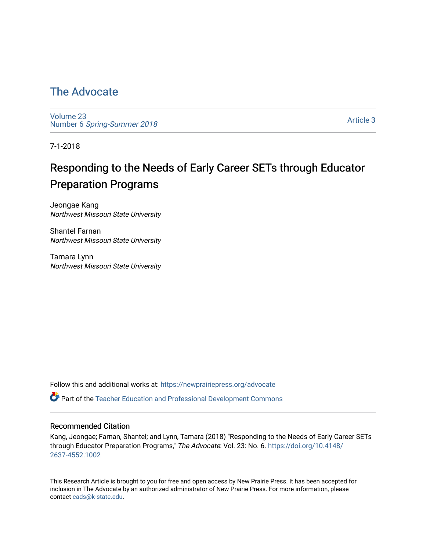# [The Advocate](https://newprairiepress.org/advocate)

[Volume 23](https://newprairiepress.org/advocate/vol23) Number 6 [Spring-Summer 2018](https://newprairiepress.org/advocate/vol23/iss6)

[Article 3](https://newprairiepress.org/advocate/vol23/iss6/3) 

7-1-2018

# Responding to the Needs of Early Career SETs through Educator Preparation Programs

Jeongae Kang Northwest Missouri State University

Shantel Farnan Northwest Missouri State University

Tamara Lynn Northwest Missouri State University

Follow this and additional works at: [https://newprairiepress.org/advocate](https://newprairiepress.org/advocate?utm_source=newprairiepress.org%2Fadvocate%2Fvol23%2Fiss6%2F3&utm_medium=PDF&utm_campaign=PDFCoverPages) 

Part of the [Teacher Education and Professional Development Commons](http://network.bepress.com/hgg/discipline/803?utm_source=newprairiepress.org%2Fadvocate%2Fvol23%2Fiss6%2F3&utm_medium=PDF&utm_campaign=PDFCoverPages) 

#### Recommended Citation

Kang, Jeongae; Farnan, Shantel; and Lynn, Tamara (2018) "Responding to the Needs of Early Career SETs through Educator Preparation Programs," The Advocate: Vol. 23: No. 6. [https://doi.org/10.4148/](https://doi.org/10.4148/2637-4552.1002) [2637-4552.1002](https://doi.org/10.4148/2637-4552.1002) 

This Research Article is brought to you for free and open access by New Prairie Press. It has been accepted for inclusion in The Advocate by an authorized administrator of New Prairie Press. For more information, please contact [cads@k-state.edu](mailto:cads@k-state.edu).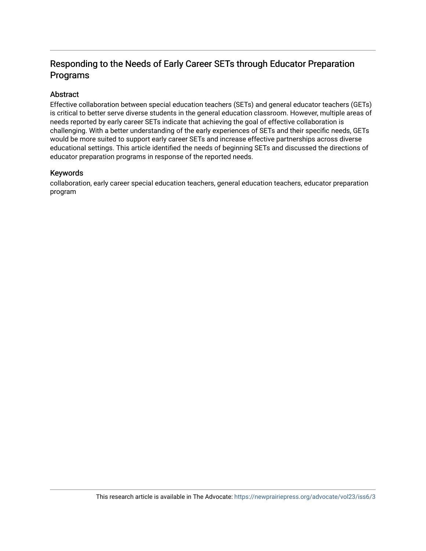# Responding to the Needs of Early Career SETs through Educator Preparation Programs

## Abstract

Effective collaboration between special education teachers (SETs) and general educator teachers (GETs) is critical to better serve diverse students in the general education classroom. However, multiple areas of needs reported by early career SETs indicate that achieving the goal of effective collaboration is challenging. With a better understanding of the early experiences of SETs and their specific needs, GETs would be more suited to support early career SETs and increase effective partnerships across diverse educational settings. This article identified the needs of beginning SETs and discussed the directions of educator preparation programs in response of the reported needs.

## Keywords

collaboration, early career special education teachers, general education teachers, educator preparation program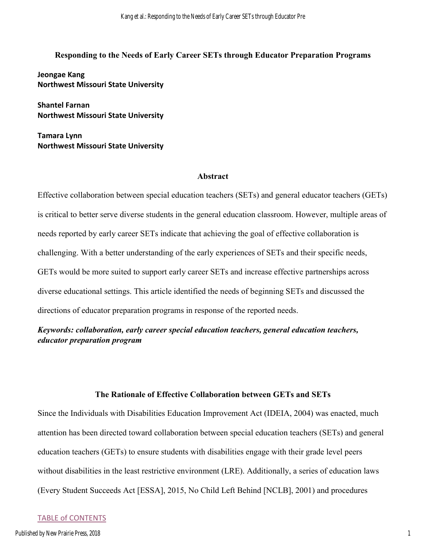Responding to the Needs of Early Career SETs through Educator Preparation Programs

Jeongae Kang Northwest Missouri State University

Shantel Farnan Northwest Missouri State University

Tamara Lynn Northwest Missouri State University

#### Abstract

Effective collaboration between special education teachers (SETs) and general educator teachers (GETs) is critical to better serve diverse students in the general education classroom. However, multiple areas of needs reported by early career SETs indicate that achieving the goal of effective collaboration is challenging. With a better understanding of the early experiences of SETs and their specific needs, GETs would be more suited to support early career SETs and increase effective partnerships across diverse educational settings. This article identified the needs of beginning SETs and discussed the directions of educator preparation programs in response of the reported needs.

*Keywords: collaboration, early career special education teachers, general education teachers, educator preparation program* 

## The Rationale of Effective Collaboration between GETs and SETs

Since the Individuals with Disabilities Education Improvement Act (IDEIA, 2004) was enacted, much attention has been directed toward collaboration between special education teachers (SETs) and general education teachers (GETs) to ensure students with disabilities engage with their grade level peers without disabilities in the least restrictive environment (LRE). Additionally, a series of education laws (Every Student Succeeds Act [ESSA], 2015, No Child Left Behind [NCLB], 2001) and procedures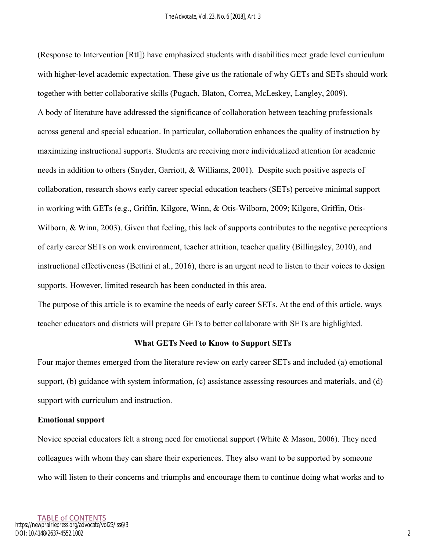(Response to Intervention [RtI]) have emphasized students with disabilities meet grade level curriculum with higher-level academic expectation. These give us the rationale of why GETs and SETs should work together with better collaborative skills (Pugach, Blaton, Correa, McLeskey, Langley, 2009). A body of literature have addressed the significance of collaboration between teaching professionals across general and special education. In particular, collaboration enhances the quality of instruction by maximizing instructional supports. Students are receiving more individualized attention for academic needs in addition to others (Snyder, Garriott, & Williams, 2001). Despite such positive aspects of collaboration, research shows early career special education teachers (SETs) perceive minimal support in working with GETs (e.g., Griffin, Kilgore, Winn, & Otis-Wilborn, 2009; Kilgore, Griffin, Otis-Wilborn, & Winn, 2003). Given that feeling, this lack of supports contributes to the negative perceptions of early career SETs on work environment, teacher attrition, teacher quality (Billingsley, 2010), and instructional effectiveness (Bettini et al., 2016), there is an urgent need to listen to their voices to design supports. However, limited research has been conducted in this area.

The purpose of this article is to examine the needs of early career SETs. At the end of this article, ways teacher educators and districts will prepare GETs to better collaborate with SETs are highlighted.

#### What GETs Need to Know to Support SETs

Four major themes emerged from the literature review on early career SETs and included (a) emotional support, (b) guidance with system information, (c) assistance assessing resources and materials, and (d) support with curriculum and instruction.

#### Emotional support

Novice special educators felt a strong need for emotional support (White & Mason, 2006). They need colleagues with whom they can share their experiences. They also want to be supported by someone who will listen to their concerns and triumphs and encourage them to continue doing what works and to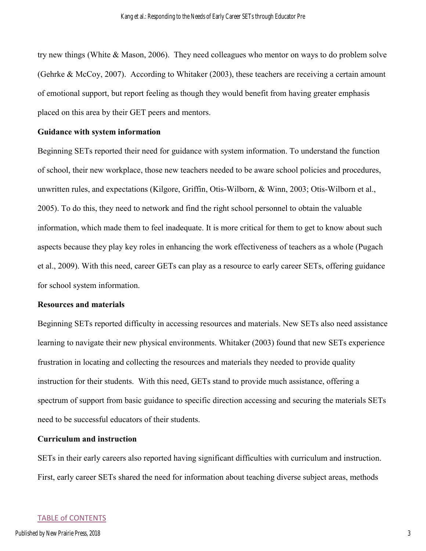try new things (White & Mason, 2006). They need colleagues who mentor on ways to do problem solve (Gehrke & McCoy, 2007). According to Whitaker (2003), these teachers are receiving a certain amount of emotional support, but report feeling as though they would benefit from having greater emphasis placed on this area by their GET peers and mentors.

### Guidance with system information

Beginning SETs reported their need for guidance with system information. To understand the function of school, their new workplace, those new teachers needed to be aware school policies and procedures, unwritten rules, and expectations (Kilgore, Griffin, Otis-Wilborn, & Winn, 2003; Otis-Wilborn et al., 2005). To do this, they need to network and find the right school personnel to obtain the valuable information, which made them to feel inadequate. It is more critical for them to get to know about such aspects because they play key roles in enhancing the work effectiveness of teachers as a whole (Pugach et al., 2009). With this need, career GETs can play as a resource to early career SETs, offering guidance for school system information.

#### Resources and materials

Beginning SETs reported difficulty in accessing resources and materials. New SETs also need assistance learning to navigate their new physical environments. Whitaker (2003) found that new SETs experience frustration in locating and collecting the resources and materials they needed to provide quality instruction for their students. With this need, GETs stand to provide much assistance, offering a spectrum of support from basic guidance to specific direction accessing and securing the materials SETs need to be successful educators of their students.

#### Curriculum and instruction

SETs in their early careers also reported having significant difficulties with curriculum and instruction. First, early career SETs shared the need for information about teaching diverse subject areas, methods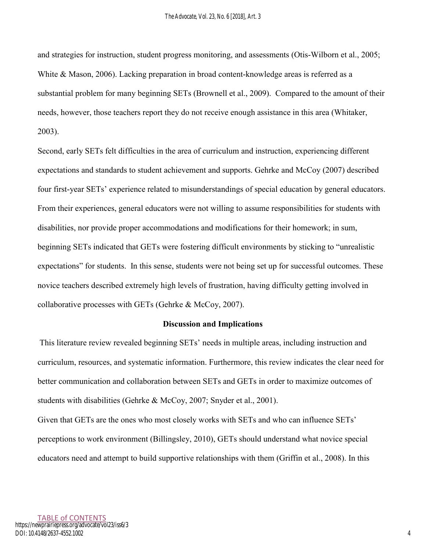and strategies for instruction, student progress monitoring, and assessments (Otis-Wilborn et al., 2005; White & Mason, 2006). Lacking preparation in broad content-knowledge areas is referred as a substantial problem for many beginning SETs (Brownell et al., 2009). Compared to the amount of their needs, however, those teachers report they do not receive enough assistance in this area (Whitaker, 2003).

Second, early SETs felt difficulties in the area of curriculum and instruction, experiencing different expectations and standards to student achievement and supports. Gehrke and McCoy (2007) described four first-year SETs' experience related to misunderstandings of special education by general educators. From their experiences, general educators were not willing to assume responsibilities for students with disabilities, nor provide proper accommodations and modifications for their homework; in sum, beginning SETs indicated that GETs were fostering difficult environments by sticking to "unrealistic expectations" for students. In this sense, students were not being set up for successful outcomes. These novice teachers described extremely high levels of frustration, having difficulty getting involved in collaborative processes with GETs (Gehrke & McCoy, 2007).

#### Discussion and Implications

 This literature review revealed beginning SETs' needs in multiple areas, including instruction and curriculum, resources, and systematic information. Furthermore, this review indicates the clear need for better communication and collaboration between SETs and GETs in order to maximize outcomes of students with disabilities (Gehrke & McCoy, 2007; Snyder et al., 2001).

Given that GETs are the ones who most closely works with SETs and who can influence SETs' perceptions to work environment (Billingsley, 2010), GETs should understand what novice special educators need and attempt to build supportive relationships with them (Griffin et al., 2008). In this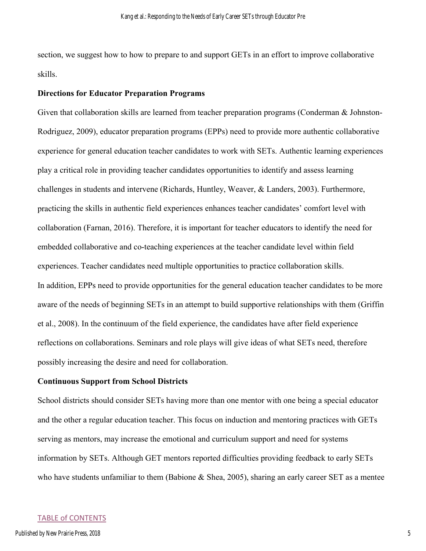section, we suggest how to how to prepare to and support GETs in an effort to improve collaborative skills.

#### Directions for Educator Preparation Programs

Given that collaboration skills are learned from teacher preparation programs (Conderman & Johnston-Rodriguez, 2009), educator preparation programs (EPPs) need to provide more authentic collaborative experience for general education teacher candidates to work with SETs. Authentic learning experiences play a critical role in providing teacher candidates opportunities to identify and assess learning challenges in students and intervene (Richards, Huntley, Weaver, & Landers, 2003). Furthermore, practicing the skills in authentic field experiences enhances teacher candidates' comfort level with collaboration (Farnan, 2016). Therefore, it is important for teacher educators to identify the need for embedded collaborative and co-teaching experiences at the teacher candidate level within field experiences. Teacher candidates need multiple opportunities to practice collaboration skills. In addition, EPPs need to provide opportunities for the general education teacher candidates to be more aware of the needs of beginning SETs in an attempt to build supportive relationships with them (Griffin et al., 2008). In the continuum of the field experience, the candidates have after field experience reflections on collaborations. Seminars and role plays will give ideas of what SETs need, therefore possibly increasing the desire and need for collaboration.

#### Continuous Support from School Districts

School districts should consider SETs having more than one mentor with one being a special educator and the other a regular education teacher. This focus on induction and mentoring practices with GETs serving as mentors, may increase the emotional and curriculum support and need for systems information by SETs. Although GET mentors reported difficulties providing feedback to early SETs who have students unfamiliar to them (Babione & Shea, 2005), sharing an early career SET as a mentee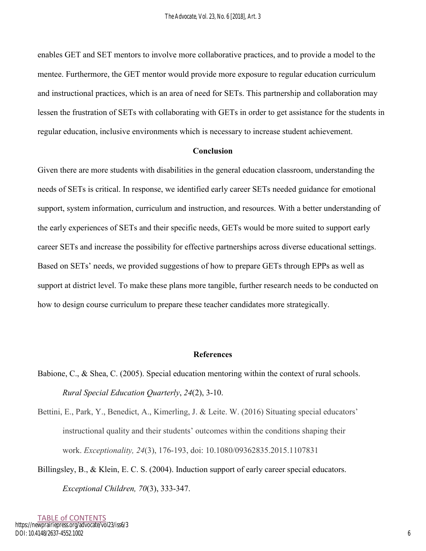enables GET and SET mentors to involve more collaborative practices, and to provide a model to the mentee. Furthermore, the GET mentor would provide more exposure to regular education curriculum and instructional practices, which is an area of need for SETs. This partnership and collaboration may lessen the frustration of SETs with collaborating with GETs in order to get assistance for the students in regular education, inclusive environments which is necessary to increase student achievement.

#### Conclusion

Given there are more students with disabilities in the general education classroom, understanding the needs of SETs is critical. In response, we identified early career SETs needed guidance for emotional support, system information, curriculum and instruction, and resources. With a better understanding of the early experiences of SETs and their specific needs, GETs would be more suited to support early career SETs and increase the possibility for effective partnerships across diverse educational settings. Based on SETs' needs, we provided suggestions of how to prepare GETs through EPPs as well as support at district level. To make these plans more tangible, further research needs to be conducted on how to design course curriculum to prepare these teacher candidates more strategically.

#### References

- Babione, C., & Shea, C. (2005). Special education mentoring within the context of rural schools. *Rural Special Education Quarterly*, *24*(2), 3-10.
- Bettini, E., Park, Y., Benedict, A., Kimerling, J. & Leite. W. (2016) Situating special educators' instructional quality and their students' outcomes within the conditions shaping their work. *Exceptionality, 24*(3), 176-193, doi: 10.1080/09362835.2015.1107831

Billingsley, B., & Klein, E. C. S. (2004). Induction support of early career special educators. *Exceptional Children, 70*(3), 333-347.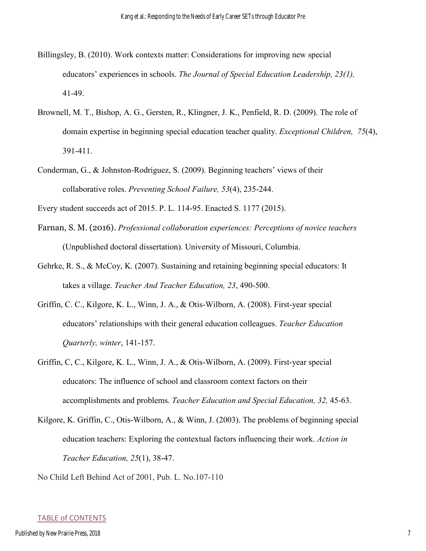- Billingsley, B. (2010). Work contexts matter: Considerations for improving new special educators' experiences in schools. *The Journal of Special Education Leadership, 23(1),*  41-49.
- Brownell, M. T., Bishop, A. G., Gersten, R., Klingner, J. K., Penfield, R. D. (2009). The role of domain expertise in beginning special education teacher quality. *Exceptional Children, 75*(4), 391-411.
- Conderman, G., & Johnston-Rodriguez, S. (2009). Beginning teachers' views of their collaborative roles. *Preventing School Failure, 53*(4), 235-244.

Every student succeeds act of 2015. P. L. 114-95. Enacted S. 1177 (2015).

- Farnan, S. M. (2016). *Professional collaboration experiences: Perceptions of novice teachers*  (Unpublished doctoral dissertation). University of Missouri, Columbia.
- Gehrke, R. S., & McCoy, K. (2007). Sustaining and retaining beginning special educators: It takes a village. *Teacher And Teacher Education, 23*, 490-500.
- Griffin, C. C., Kilgore, K. L., Winn, J. A., & Otis-Wilborn, A. (2008). First-year special educators' relationships with their general education colleagues. *Teacher Education Quarterly, winter*, 141-157.
- Griffin, C, C., Kilgore, K. L., Winn, J. A., & Otis-Wilborn, A. (2009). First-year special educators: The influence of school and classroom context factors on their accomplishments and problems. *Teacher Education and Special Education, 32,* 45-63.
- Kilgore, K. Griffin, C., Otis-Wilborn, A., & Winn, J. (2003). The problems of beginning special education teachers: Exploring the contextual factors influencing their work. *Action in Teacher Education, 25*(1), 38-47.

No Child Left Behind Act of 2001, Pub. L. No.107-110